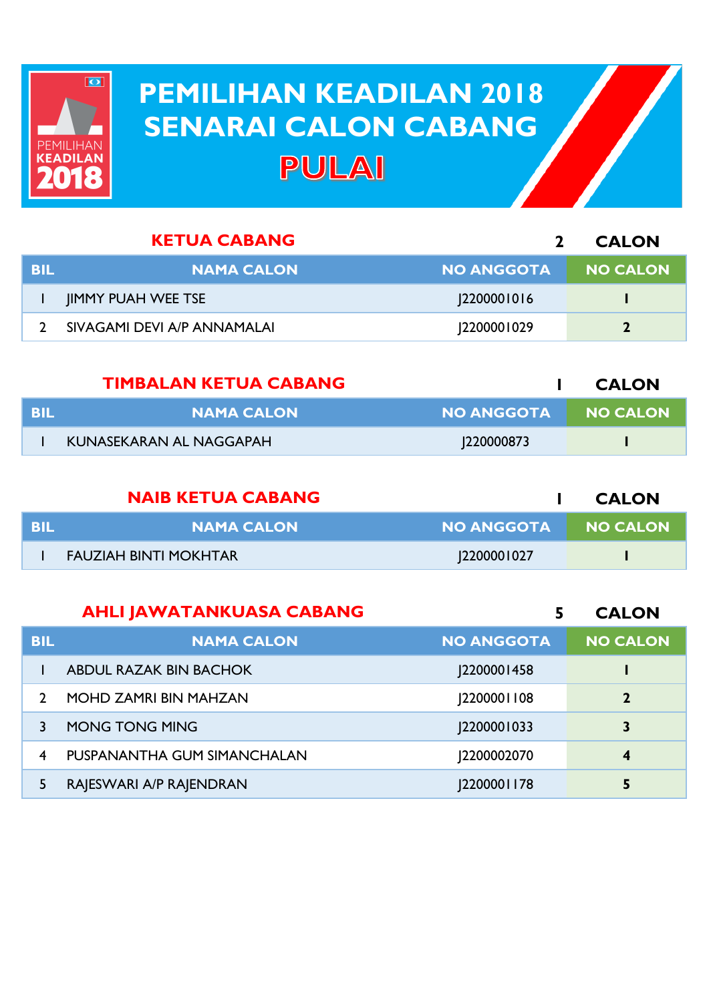

## **PEMILIHAN KEADILAN 2018 PEMILIHAN KEADILAN 2018 SENARAI CALON CABANG SENARAI CALON CABANGPULAI**

|            | <b>KETUA CABANG</b>         |                   | <b>CALON</b> |
|------------|-----------------------------|-------------------|--------------|
| <b>BIL</b> | <b>NAMA CALON</b>           | <b>NO ANGGOTA</b> | NO CALON     |
|            | <b>IIMMY PUAH WEE TSE</b>   | 12200001016       |              |
|            | SIVAGAMI DEVI A/P ANNAMALAI | 2200001029        |              |
|            |                             |                   |              |

|      | <b>TIMBALAN KETUA CABANG</b> |                   | <b>CALON</b> |
|------|------------------------------|-------------------|--------------|
| -BIL | <b>NAMA CALON</b>            | <b>NO ANGGOTA</b> | I NO CALON   |
|      | KUNASEKARAN AL NAGGAPAH      | 220000873         |              |

|      | <b>NAIB KETUA CABANG</b> |                   | <b>CALON</b>    |
|------|--------------------------|-------------------|-----------------|
| -BIL | <b>NAMA CALON</b>        | <b>NO ANGGOTA</b> | <b>NO CALON</b> |
|      | FAUZIAH BINTI MOKHTAR    | 2200001027        |                 |

|            | <b>AHLI JAWATANKUASA CABANG</b> |                   | <b>CALON</b>    |
|------------|---------------------------------|-------------------|-----------------|
| <b>BIL</b> | <b>NAMA CALON</b>               | <b>NO ANGGOTA</b> | <b>NO CALON</b> |
|            | <b>ABDUL RAZAK BIN BACHOK</b>   | 2200001458        |                 |
|            | <b>MOHD ZAMRI BIN MAHZAN</b>    | 2200001108        | $\overline{2}$  |
|            | <b>MONG TONG MING</b>           | 2200001033        | 3               |
| 4          | PUSPANANTHA GUM SIMANCHALAN     | 2200002070        | $\overline{4}$  |
| 5          | RAJESWARI A/P RAJENDRAN         | <b>2200001178</b> | 5               |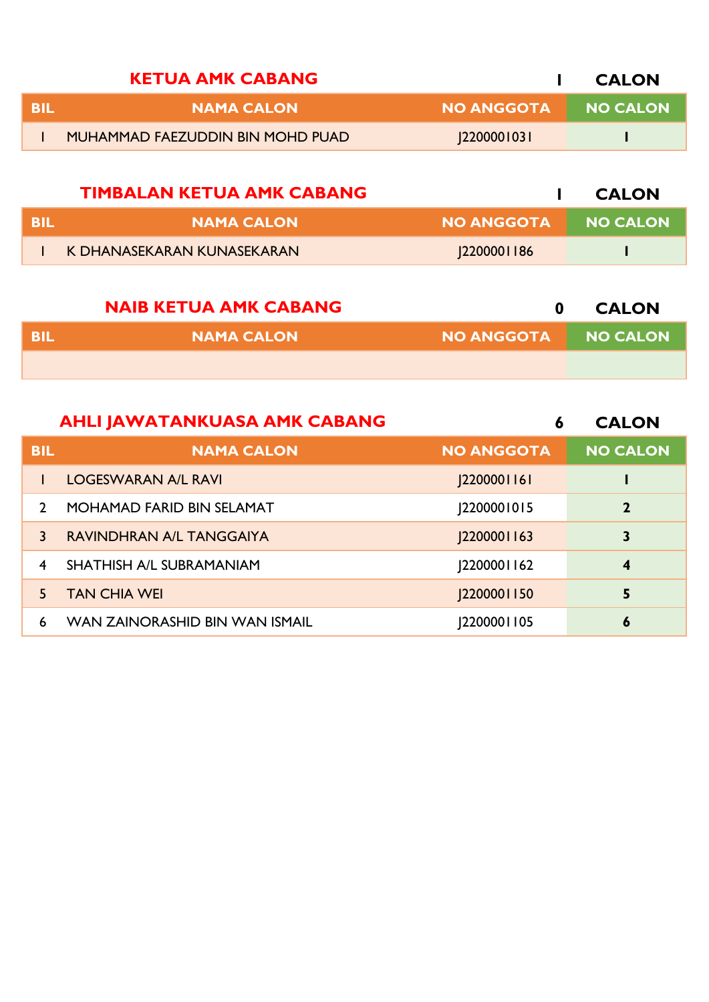|     | <b>KETUA AMK CABANG</b>          |                   | <b>CALON</b>    |
|-----|----------------------------------|-------------------|-----------------|
| RIL | <b>NAMA CALON</b>                | <b>NO ANGGOTA</b> | <b>NO CALON</b> |
|     | MUHAMMAD FAEZUDDIN BIN MOHD PUAD | 220000103         |                 |

|     | TIMBALAN KETUA AMK CABANG  |                   | <b>CALON</b> |
|-----|----------------------------|-------------------|--------------|
| BIL | <b>NAMA CALON</b>          | NO ANGGOTA        | NO CALON     |
|     | K DHANASEKARAN KUNASEKARAN | <b>2200001186</b> |              |

|            | <b>NAIB KETUA AMK CABANG</b> |                   | <b>CALON</b>    |
|------------|------------------------------|-------------------|-----------------|
| <b>BIL</b> | <b>NAMA CALON</b>            | <b>NO ANGGOTA</b> | <b>NO CALON</b> |
|            |                              |                   |                 |

|               | <b>AHLI JAWATANKUASA AMK CABANG</b> | 6                  | <b>CALON</b>     |
|---------------|-------------------------------------|--------------------|------------------|
| <b>BIL</b>    | <b>NAMA CALON</b>                   | <b>NO ANGGOTA</b>  | <b>NO CALON</b>  |
|               | <b>LOGESWARAN A/L RAVI</b>          | <b>J2200001161</b> |                  |
| $\mathcal{L}$ | <b>MOHAMAD FARID BIN SELAMAT</b>    | 2200001015         | $\overline{2}$   |
| 3             | RAVINDHRAN A/L TANGGAIYA            | <b>2200001163</b>  | 3                |
| 4             | <b>SHATHISH A/L SUBRAMANIAM</b>     | [2200001162]       | $\boldsymbol{4}$ |
| 5.            | <b>TAN CHIA WEI</b>                 | <b>2200001150</b>  | 5                |
| 6             | WAN ZAINORASHID BIN WAN ISMAIL      | 12200001105        | 6                |